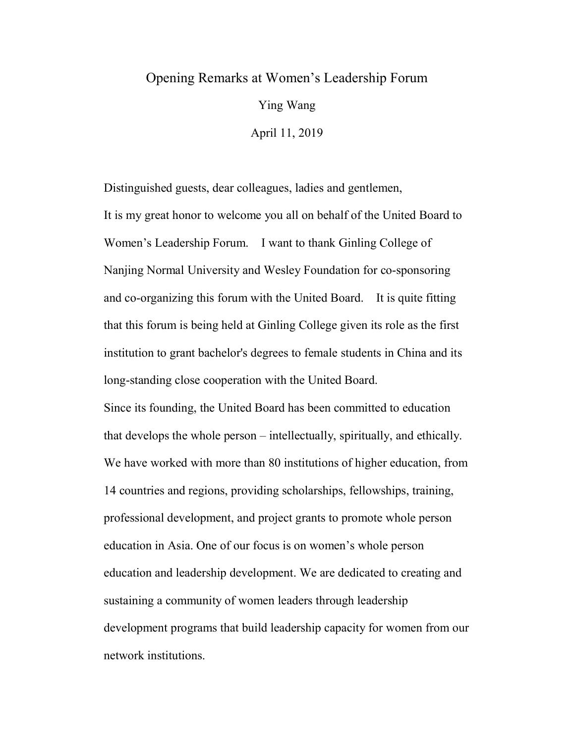## Opening Remarks at Women's Leadership Forum

Ying Wang

April 11, 2019

Distinguished guests, dear colleagues, ladies and gentlemen, It is my great honor to welcome you all on behalf of the United Board to Women's Leadership Forum. I want to thank Ginling College of Nanjing Normal University and Wesley Foundation for co-sponsoring and co-organizing this forum with the United Board. It is quite fitting that this forum is being held at Ginling College given its role as the first institution to grant bachelor's degrees to female students in China and its long-standing close cooperation with the United Board.

Since its founding, the United Board has been committed to education that develops the whole person – intellectually, spiritually, and ethically. We have worked with more than 80 institutions of higher education, from 14 countries and regions, providing scholarships, fellowships, training, professional development, and project grants to promote whole person education in Asia. One of our focus is on women's whole person education and leadership development. We are dedicated to creating and sustaining a community of women leaders through leadership development programs that build leadership capacity for women from our network institutions.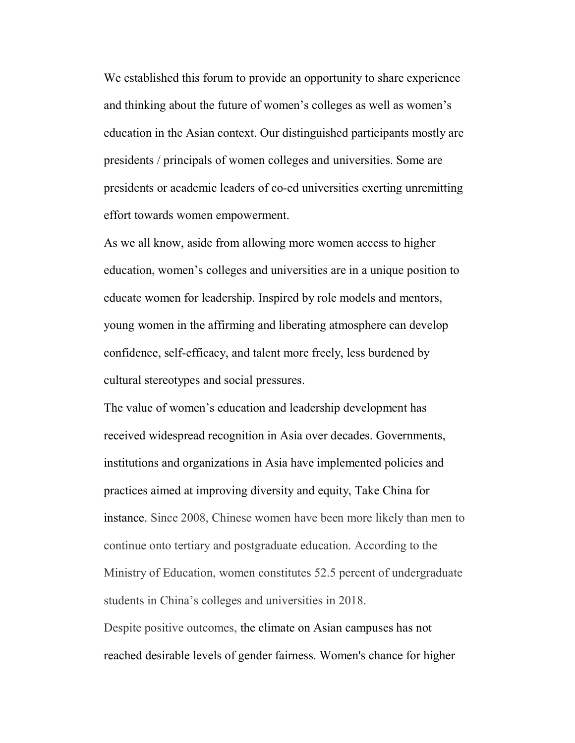We established this forum to provide an opportunity to share experience and thinking about the future of women's colleges as well as women's education in the Asian context. Our distinguished participants mostly are presidents / principals of women colleges and universities. Some are presidents or academic leaders of co-ed universities exerting unremitting effort towards women empowerment.

As we all know, aside from allowing more women access to higher education, women's colleges and universities are in a unique position to educate women for leadership. Inspired by role models and mentors, young women in the affirming and liberating atmosphere can develop confidence, self-efficacy, and talent more freely, less burdened by cultural stereotypes and social pressures.

The value of women's education and leadership development has received widespread recognition in Asia over decades. Governments, institutions and organizations in Asia have implemented policies and practices aimed at improving diversity and equity, Take China for instance. Since 2008, Chinese women have been more likely than men to continue onto tertiary and postgraduate education. According to the Ministry of Education, women constitutes 52.5 percent of undergraduate students in China's colleges and universities in 2018.

Despite positive outcomes, the climate on Asian campuses has not reached desirable levels of gender fairness. Women's chance for higher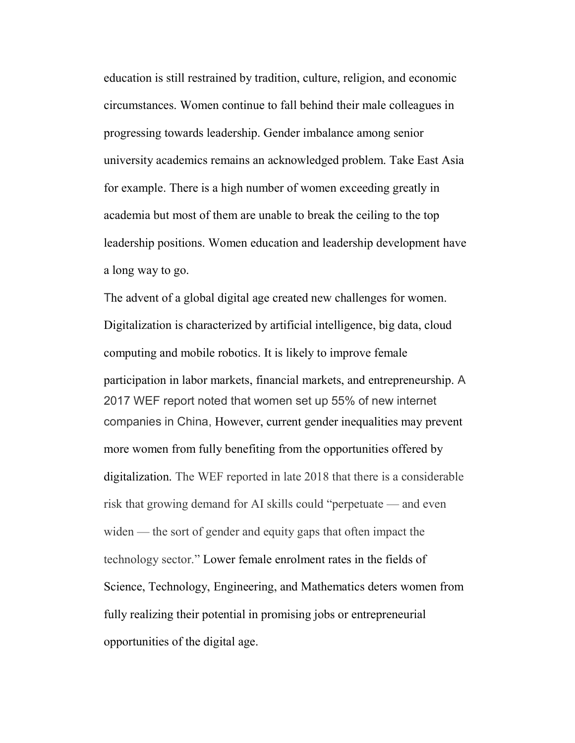education is still restrained by tradition, culture, religion, and economic circumstances. Women continue to fall behind their male colleagues in progressing towards leadership. Gender imbalance among senior university academics remains an acknowledged problem. Take East Asia for example. There is a high number of women exceeding greatly in academia but most of them are unable to break the ceiling to the top leadership positions. Women education and leadership development have a long way to go.

The advent of a global digital age created new challenges for women. Digitalization is characterized by artificial intelligence, big data, cloud computing and mobile robotics. It is likely to improve female participation in labor markets, financial markets, and entrepreneurship. A 2017 WEF report noted that women set up 55% of new internet companies in China, However, current gender inequalities may prevent more women from fully benefiting from the opportunities offered by digitalization. The WEF reported in late 2018 that there is a considerable risk that growing demand for AI skills could "perpetuate — and even widen — the sort of gender and equity gaps that often impact the technology sector." Lower female enrolment rates in the fields of Science, Technology, Engineering, and Mathematics deters women from fully realizing their potential in promising jobs or entrepreneurial opportunities of the digital age.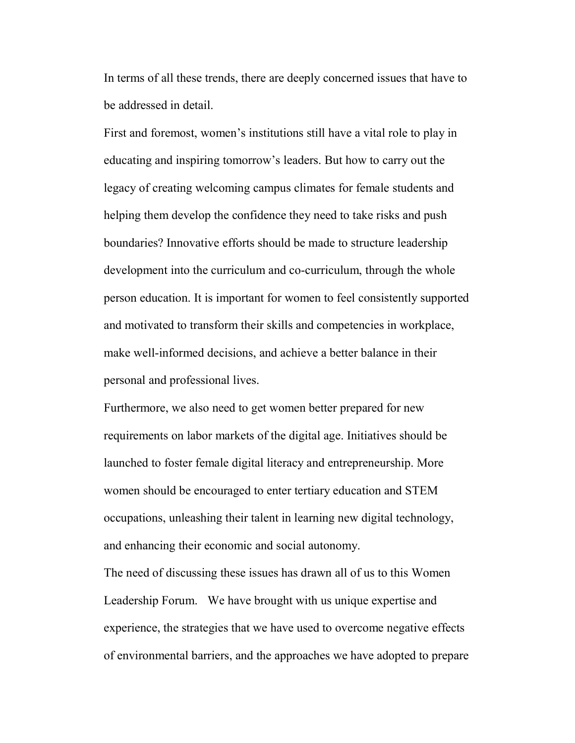In terms of all these trends, there are deeply concerned issues that have to be addressed in detail.

First and foremost, women's institutions still have a vital role to play in educating and inspiring tomorrow's leaders. But how to carry out the legacy of creating welcoming campus climates for female students and helping them develop the confidence they need to take risks and push boundaries? Innovative efforts should be made to structure leadership development into the curriculum and co-curriculum, through the whole person education. It is important for women to feel consistently supported and motivated to transform their skills and competencies in workplace, make well-informed decisions, and achieve a better balance in their personal and professional lives.

Furthermore, we also need to get women better prepared for new requirements on labor markets of the digital age. Initiatives should be launched to foster female digital literacy and entrepreneurship. More women should be encouraged to enter tertiary education and STEM occupations, unleashing their talent in learning new digital technology, and enhancing their economic and social autonomy.

The need of discussing these issues has drawn all of us to this Women Leadership Forum. We have brought with us unique expertise and experience, the strategies that we have used to overcome negative effects of environmental barriers, and the approaches we have adopted to prepare